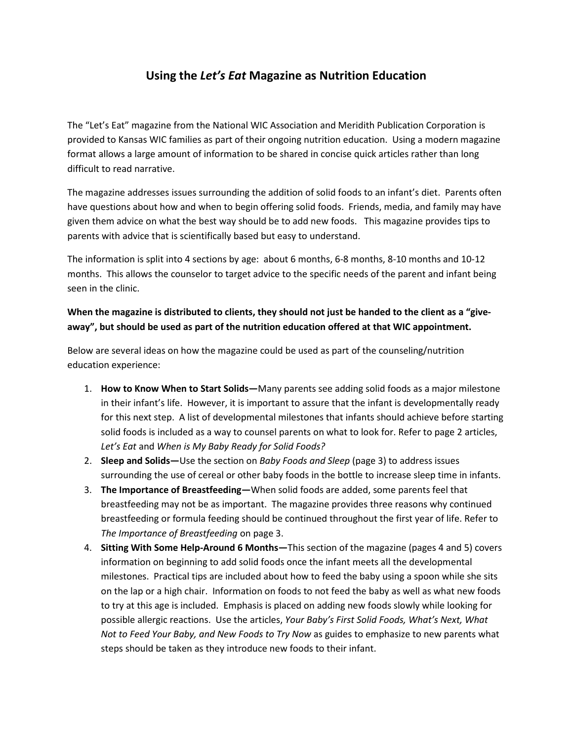## **Using the** *Let's Eat* **Magazine as Nutrition Education**

The "Let's Eat" magazine from the National WIC Association and Meridith Publication Corporation is provided to Kansas WIC families as part of their ongoing nutrition education. Using a modern magazine format allows a large amount of information to be shared in concise quick articles rather than long difficult to read narrative.

The magazine addresses issues surrounding the addition of solid foods to an infant's diet. Parents often have questions about how and when to begin offering solid foods. Friends, media, and family may have given them advice on what the best way should be to add new foods. This magazine provides tips to parents with advice that is scientifically based but easy to understand.

The information is split into 4 sections by age: about 6 months, 6-8 months, 8-10 months and 10-12 months. This allows the counselor to target advice to the specific needs of the parent and infant being seen in the clinic.

## **When the magazine is distributed to clients, they should not just be handed to the client as a "giveaway", but should be used as part of the nutrition education offered at that WIC appointment.**

Below are several ideas on how the magazine could be used as part of the counseling/nutrition education experience:

- 1. **How to Know When to Start Solids—**Many parents see adding solid foods as a major milestone in their infant's life. However, it is important to assure that the infant is developmentally ready for this next step. A list of developmental milestones that infants should achieve before starting solid foods is included as a way to counsel parents on what to look for. Refer to page 2 articles, *Let's Eat* and *When is My Baby Ready for Solid Foods?*
- 2. **Sleep and Solids—**Use the section on *Baby Foods and Sleep* (page 3) to address issues surrounding the use of cereal or other baby foods in the bottle to increase sleep time in infants.
- 3. **The Importance of Breastfeeding—**When solid foods are added, some parents feel that breastfeeding may not be as important. The magazine provides three reasons why continued breastfeeding or formula feeding should be continued throughout the first year of life. Refer to *The Importance of Breastfeeding* on page 3.
- 4. **Sitting With Some Help-Around 6 Months—**This section of the magazine (pages 4 and 5) covers information on beginning to add solid foods once the infant meets all the developmental milestones. Practical tips are included about how to feed the baby using a spoon while she sits on the lap or a high chair. Information on foods to not feed the baby as well as what new foods to try at this age is included. Emphasis is placed on adding new foods slowly while looking for possible allergic reactions. Use the articles, *Your Baby's First Solid Foods, What's Next, What Not to Feed Your Baby, and New Foods to Try Now* as guides to emphasize to new parents what steps should be taken as they introduce new foods to their infant.